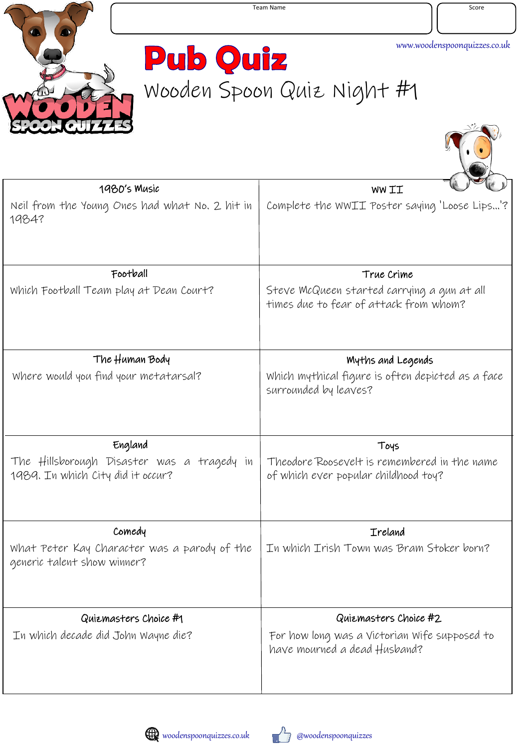

M.C

**Pub Quiz** Wooden Spoon Quiz Night #1

| 1980's Music                                                                    | WW II                                                                                 |
|---------------------------------------------------------------------------------|---------------------------------------------------------------------------------------|
| Neil from the Young Ones had what No. 2 hit in<br>1984?                         | Complete the WWII Poster saying 'Loose Lips'?                                         |
| Football                                                                        | True Crime                                                                            |
| Which Football Team play at Dean Court?                                         | Steve McQueen started carrying a gun at all<br>times due to fear of attack from whom? |
| The Human Body                                                                  | Myths and Legends                                                                     |
| Where would you find your metatarsal?                                           | Which mythical figure is often depicted as a face<br>surrounded by leaves?            |
| England                                                                         | Toys                                                                                  |
| The Hillsborough Disaster was a tragedy in<br>1989. In which City did it occur? | Theodore Roosevelt is remembered in the name<br>of which ever popular childhood toy?  |
| Comedy                                                                          | <b>Ireland</b>                                                                        |
| What Peter Kay Character was a parody of the<br>generic talent show winner?     | In which Irish Town was Bram Stoker born?                                             |
| Quiemasters Choice #1                                                           | Quiemasters Choice #2                                                                 |
| In which decade did John Wayne die?                                             | For how long was a Victorian Wife supposed to<br>have mourned a dead Husband?         |